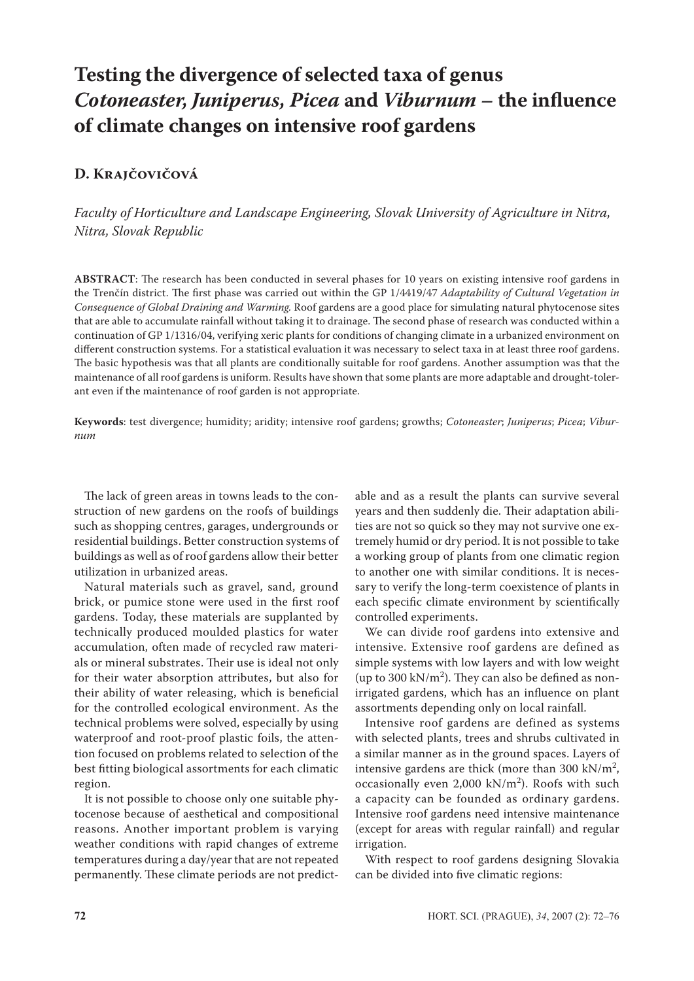# **Testing the divergence of selected taxa of genus**  *Cotoneaster, Juniperus, Picea* **and** *Viburnum* **– the influence of climate changes on intensive roof gardens**

## **D. Krajčovičová**

*Faculty of Horticulture and Landscape Engineering, Slovak University of Agriculture in Nitra, Nitra, Slovak Republic*

**ABSTRACT**: The research has been conducted in several phases for 10 years on existing intensive roof gardens in the Trenčín district. The first phase was carried out within the GP 1/4419/47 *Adaptability of Cultural Vegetation in Consequence of Global Draining and Warming.* Roof gardens are a good place for simulating natural phytocenose sites that are able to accumulate rainfall without taking it to drainage. The second phase of research was conducted within a continuation of GP 1/1316/04, verifying xeric plants for conditions of changing climate in a urbanized environment on different construction systems. For a statistical evaluation it was necessary to select taxa in at least three roof gardens. The basic hypothesis was that all plants are conditionally suitable for roof gardens. Another assumption was that the maintenance of all roof gardens is uniform. Results have shown that some plants are more adaptable and drought-tolerant even if the maintenance of roof garden is not appropriate.

**Keywords**: test divergence; humidity; aridity; intensive roof gardens; growths; *Cotoneaster*; *Juniperus*; *Picea*; *Viburnum*

The lack of green areas in towns leads to the construction of new gardens on the roofs of buildings such as shopping centres, garages, undergrounds or residential buildings. Better construction systems of buildings as well as of roof gardens allow their better utilization in urbanized areas.

Natural materials such as gravel, sand, ground brick, or pumice stone were used in the first roof gardens. Today, these materials are supplanted by technically produced moulded plastics for water accumulation, often made of recycled raw materials or mineral substrates. Their use is ideal not only for their water absorption attributes, but also for their ability of water releasing, which is beneficial for the controlled ecological environment. As the technical problems were solved, especially by using waterproof and root-proof plastic foils, the attention focused on problems related to selection of the best fitting biological assortments for each climatic region.

It is not possible to choose only one suitable phytocenose because of aesthetical and compositional reasons. Another important problem is varying weather conditions with rapid changes of extreme temperatures during a day/year that are not repeated permanently. These climate periods are not predictable and as a result the plants can survive several years and then suddenly die. Their adaptation abilities are not so quick so they may not survive one extremely humid or dry period. It is not possible to take a working group of plants from one climatic region to another one with similar conditions. It is necessary to verify the long-term coexistence of plants in each specific climate environment by scientifically controlled experiments.

We can divide roof gardens into extensive and intensive. Extensive roof gardens are defined as simple systems with low layers and with low weight (up to 300 kN/ $m<sup>2</sup>$ ). They can also be defined as nonirrigated gardens, which has an influence on plant assortments depending only on local rainfall.

Intensive roof gardens are defined as systems with selected plants, trees and shrubs cultivated in a similar manner as in the ground spaces. Layers of intensive gardens are thick (more than 300 kN/ $m^2$ , occasionally even  $2,000 \text{ kN/m}^2$ ). Roofs with such a capacity can be founded as ordinary gardens. Intensive roof gardens need intensive maintenance (except for areas with regular rainfall) and regular irrigation.

With respect to roof gardens designing Slovakia can be divided into five climatic regions: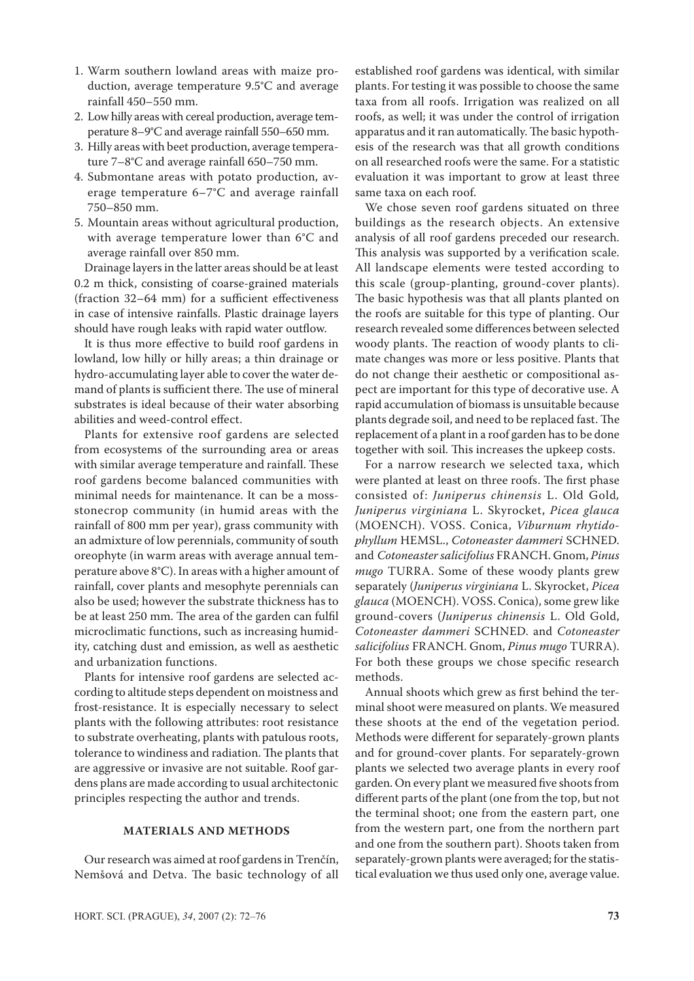- 1. Warm southern lowland areas with maize production, average temperature 9.5°C and average rainfall 450–550 mm.
- 2. Low hilly areas with cereal production, average temperature 8–9°C and average rainfall 550–650 mm.
- 3. Hilly areas with beet production, average temperature 7–8°C and average rainfall 650–750 mm.
- 4. Submontane areas with potato production, average temperature 6–7°C and average rainfall 750–850 mm.
- 5. Mountain areas without agricultural production, with average temperature lower than 6°C and average rainfall over 850 mm.

Drainage layers in the latter areas should be at least 0.2 m thick, consisting of coarse-grained materials (fraction 32–64 mm) for a sufficient effectiveness in case of intensive rainfalls. Plastic drainage layers should have rough leaks with rapid water outflow.

It is thus more effective to build roof gardens in lowland, low hilly or hilly areas; a thin drainage or hydro-accumulating layer able to cover the water demand of plants is sufficient there. The use of mineral substrates is ideal because of their water absorbing abilities and weed-control effect.

Plants for extensive roof gardens are selected from ecosystems of the surrounding area or areas with similar average temperature and rainfall. These roof gardens become balanced communities with minimal needs for maintenance. It can be a mossstonecrop community (in humid areas with the rainfall of 800 mm per year), grass community with an admixture of low perennials, community of south oreophyte (in warm areas with average annual temperature above 8°C). In areas with a higher amount of rainfall, cover plants and mesophyte perennials can also be used; however the substrate thickness has to be at least 250 mm. The area of the garden can fulfil microclimatic functions, such as increasing humidity, catching dust and emission, as well as aesthetic and urbanization functions.

Plants for intensive roof gardens are selected according to altitude steps dependent on moistness and frost-resistance. It is especially necessary to select plants with the following attributes: root resistance to substrate overheating, plants with patulous roots, tolerance to windiness and radiation. The plants that are aggressive or invasive are not suitable. Roof gardens plans are made according to usual architectonic principles respecting the author and trends.

### **MATERIALS AND METHODS**

Our research was aimed at roof gardens in Trenčín, Nemšová and Detva. The basic technology of all

established roof gardens was identical, with similar plants. For testing it was possible to choose the same taxa from all roofs. Irrigation was realized on all roofs, as well; it was under the control of irrigation apparatus and it ran automatically. The basic hypothesis of the research was that all growth conditions on all researched roofs were the same. For a statistic evaluation it was important to grow at least three same taxa on each roof.

We chose seven roof gardens situated on three buildings as the research objects. An extensive analysis of all roof gardens preceded our research. This analysis was supported by a verification scale. All landscape elements were tested according to this scale (group-planting, ground-cover plants). The basic hypothesis was that all plants planted on the roofs are suitable for this type of planting. Our research revealed some differences between selected woody plants. The reaction of woody plants to climate changes was more or less positive. Plants that do not change their aesthetic or compositional aspect are important for this type of decorative use. A rapid accumulation of biomass is unsuitable because plants degrade soil, and need to be replaced fast. The replacement of a plant in a roof garden has to be done together with soil. This increases the upkeep costs.

For a narrow research we selected taxa, which were planted at least on three roofs. The first phase consisted of: *Juniperus chinensis* L. Old Gold*, Juniperus virginiana* L. Skyrocket, *Picea glauca* (Moench). Voss. Conica, *Viburnum rhytidophyllum* Hemsl., *Cotoneaster dammeri* Schned. and *Cotoneaster salicifolius* Franch. Gnom, *Pinus mugo* TURRA. Some of these woody plants grew separately (*Juniperus virginiana* L. Skyrocket, *Picea*  glauca (MOENCH). VOSS. Conica), some grew like ground-covers (*Juniperus chinensis* L. Old Gold,  $Cotoneaster$  *dammeri* SCHNED. and *Cotoneaster*  $salicifolius \textsf{FRANCH.} \textsf{Gnom}, \textit{Pinus mugo TURRA}.$ For both these groups we chose specific research methods.

Annual shoots which grew as first behind the terminal shoot were measured on plants. We measured these shoots at the end of the vegetation period. Methods were different for separately-grown plants and for ground-cover plants. For separately-grown plants we selected two average plants in every roof garden. On every plant we measured five shoots from different parts of the plant (one from the top, but not the terminal shoot; one from the eastern part, one from the western part, one from the northern part and one from the southern part). Shoots taken from separately-grown plants were averaged; for the statistical evaluation we thus used only one, average value.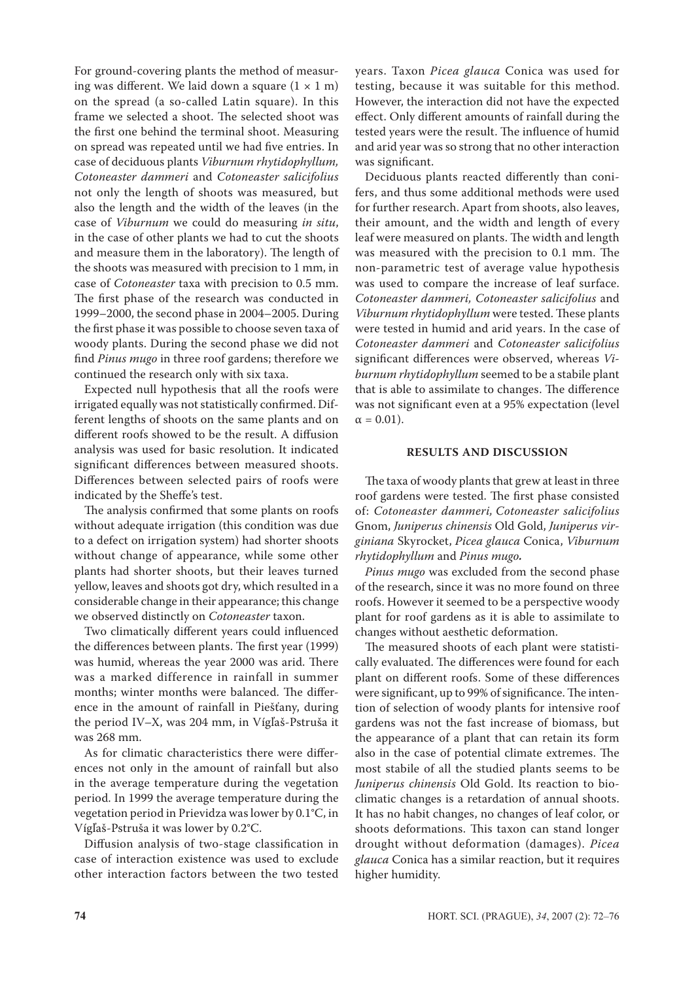For ground-covering plants the method of measuring was different. We laid down a square  $(1 \times 1 \text{ m})$ on the spread (a so-called Latin square). In this frame we selected a shoot. The selected shoot was the first one behind the terminal shoot. Measuring on spread was repeated until we had five entries. In case of deciduous plants *Viburnum rhytidophyllum, Cotoneaster dammeri* and *Cotoneaster salicifolius* not only the length of shoots was measured, but also the length and the width of the leaves (in the case of *Viburnum* we could do measuring *in situ*, in the case of other plants we had to cut the shoots and measure them in the laboratory). The length of the shoots was measured with precision to 1 mm, in case of *Cotoneaster* taxa with precision to 0.5 mm. The first phase of the research was conducted in 1999–2000, the second phase in 2004–2005. During the first phase it was possible to choose seven taxa of woody plants. During the second phase we did not find *Pinus mugo* in three roof gardens; therefore we continued the research only with six taxa.

Expected null hypothesis that all the roofs were irrigated equally was not statistically confirmed. Different lengths of shoots on the same plants and on different roofs showed to be the result. A diffusion analysis was used for basic resolution. It indicated significant differences between measured shoots. Differences between selected pairs of roofs were indicated by the Sheffe's test.

The analysis confirmed that some plants on roofs without adequate irrigation (this condition was due to a defect on irrigation system) had shorter shoots without change of appearance, while some other plants had shorter shoots, but their leaves turned yellow, leaves and shoots got dry, which resulted in a considerable change in their appearance; this change we observed distinctly on *Cotoneaster* taxon.

Two climatically different years could influenced the differences between plants. The first year (1999) was humid, whereas the year 2000 was arid. There was a marked difference in rainfall in summer months; winter months were balanced. The difference in the amount of rainfall in Piešťany, during the period IV–X, was 204 mm, in Vígľaš-Pstruša it was 268 mm.

As for climatic characteristics there were differences not only in the amount of rainfall but also in the average temperature during the vegetation period. In 1999 the average temperature during the vegetation period in Prievidza was lower by 0.1°C, in Vígľaš-Pstruša it was lower by 0.2°C.

Diffusion analysis of two-stage classification in case of interaction existence was used to exclude other interaction factors between the two tested years. Taxon *Picea glauca* Conica was used for testing, because it was suitable for this method. However, the interaction did not have the expected effect. Only different amounts of rainfall during the tested years were the result. The influence of humid and arid year was so strong that no other interaction was significant.

Deciduous plants reacted differently than conifers, and thus some additional methods were used for further research. Apart from shoots, also leaves, their amount, and the width and length of every leaf were measured on plants. The width and length was measured with the precision to 0.1 mm. The non-parametric test of average value hypothesis was used to compare the increase of leaf surface. *Cotoneaster dammeri, Cotoneaster salicifolius* and *Viburnum rhytidophyllum* were tested. These plants were tested in humid and arid years. In the case of *Cotoneaster dammeri* and *Cotoneaster salicifolius* significant differences were observed, whereas *Viburnum rhytidophyllum* seemed to be a stabile plant that is able to assimilate to changes. The difference was not significant even at a 95% expectation (level  $\alpha = 0.01$ ).

### **RESULTS AND DISCUSSION**

The taxa of woody plants that grew at least in three roof gardens were tested. The first phase consisted of: *Cotoneaster dammeri, Cotoneaster salicifolius*  Gnom, *Juniperus chinensis* Old Gold, *Juniperus virginiana* Skyrocket, *Picea glauca* Conica, *Viburnum rhytidophyllum* and *Pinus mugo.*

*Pinus mugo* was excluded from the second phase of the research, since it was no more found on three roofs. However it seemed to be a perspective woody plant for roof gardens as it is able to assimilate to changes without aesthetic deformation.

The measured shoots of each plant were statistically evaluated. The differences were found for each plant on different roofs. Some of these differences were significant, up to 99% of significance. The intention of selection of woody plants for intensive roof gardens was not the fast increase of biomass, but the appearance of a plant that can retain its form also in the case of potential climate extremes. The most stabile of all the studied plants seems to be *Juniperus chinensis* Old Gold. Its reaction to bioclimatic changes is a retardation of annual shoots. It has no habit changes, no changes of leaf color, or shoots deformations. This taxon can stand longer drought without deformation (damages). *Picea glauca* Conica has a similar reaction, but it requires higher humidity.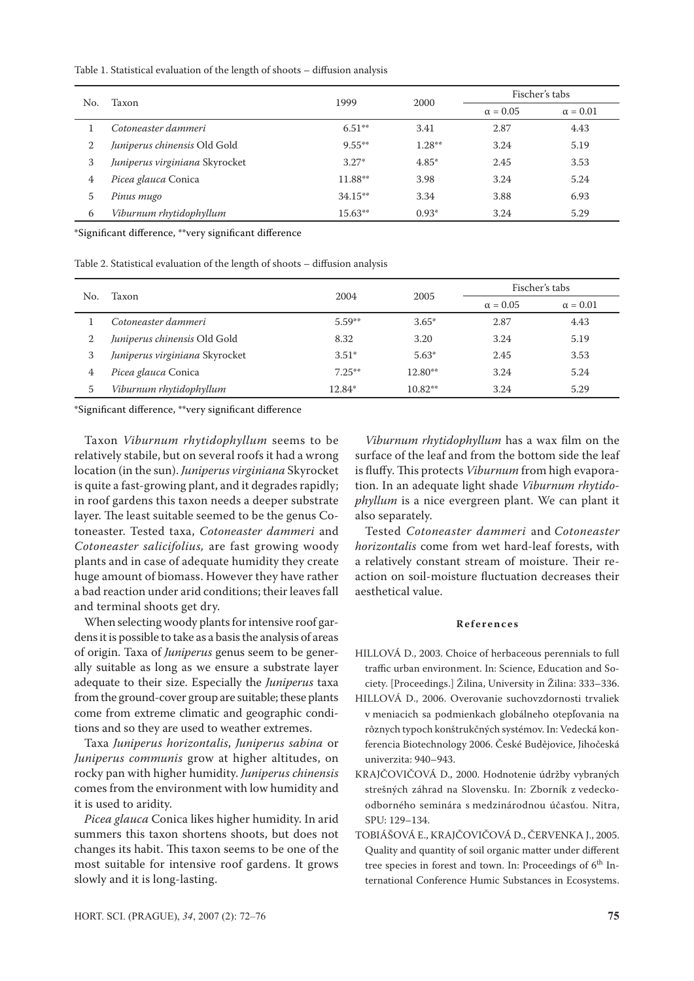Table 1. Statistical evaluation of the length of shoots – diffusion analysis

| No. | Taxon                          | 1999      | 2000     | Fischer's tabs  |                 |
|-----|--------------------------------|-----------|----------|-----------------|-----------------|
|     |                                |           |          | $\alpha = 0.05$ | $\alpha = 0.01$ |
|     | Cotoneaster dammeri            | $6.51***$ | 3.41     | 2.87            | 4.43            |
|     | Juniperus chinensis Old Gold   | $9.55***$ | $1.28**$ | 3.24            | 5.19            |
| 3   | Juniperus virginiana Skyrocket | $3.27*$   | $4.85*$  | 2.45            | 3.53            |
| 4   | Picea glauca Conica            | 11.88**   | 3.98     | 3.24            | 5.24            |
| b.  | Pinus mugo                     | $34.15**$ | 3.34     | 3.88            | 6.93            |
| 6   | Viburnum rhytidophyllum        | $15.63**$ | $0.93*$  | 3.24            | 5.29            |

\*Significant difference, \*\*very significant difference

Table 2. Statistical evaluation of the length of shoots – diffusion analysis

| No. | Taxon                          | 2004     | 2005      | Fischer's tabs  |                 |
|-----|--------------------------------|----------|-----------|-----------------|-----------------|
|     |                                |          |           | $\alpha = 0.05$ | $\alpha = 0.01$ |
|     | Cotoneaster dammeri            | $5.59**$ | $3.65*$   | 2.87            | 4.43            |
| 2   | Juniperus chinensis Old Gold   | 8.32     | 3.20      | 3.24            | 5.19            |
| 3   | Juniperus virginiana Skyrocket | $3.51*$  | $5.63*$   | 2.45            | 3.53            |
| 4   | Picea glauca Conica            | $7.25**$ | $12.80**$ | 3.24            | 5.24            |
| 5   | Viburnum rhytidophyllum        | 12.84*   | $10.82**$ | 3.24            | 5.29            |

\*Significant difference, \*\*very significant difference

Taxon *Viburnum rhytidophyllum* seems to be relatively stabile, but on several roofs it had a wrong location (in the sun). *Juniperus virginiana* Skyrocket is quite a fast-growing plant, and it degrades rapidly; in roof gardens this taxon needs a deeper substrate layer. The least suitable seemed to be the genus Cotoneaster. Tested taxa, *Cotoneaster dammeri* and *Cotoneaster salicifolius,* are fast growing woody plants and in case of adequate humidity they create huge amount of biomass. However they have rather a bad reaction under arid conditions; their leaves fall and terminal shoots get dry.

When selecting woody plants for intensive roof gardens it is possible to take as a basis the analysis of areas of origin. Taxa of *Juniperus* genus seem to be generally suitable as long as we ensure a substrate layer adequate to their size. Especially the *Juniperus* taxa from the ground-cover group are suitable; these plants come from extreme climatic and geographic conditions and so they are used to weather extremes.

Taxa *Juniperus horizontalis*, *Juniperus sabina* or *Juniperus communis* grow at higher altitudes, on rocky pan with higher humidity. *Juniperus chinensis* comes from the environment with low humidity and it is used to aridity.

*Picea glauca* Conica likes higher humidity. In arid summers this taxon shortens shoots, but does not changes its habit. This taxon seems to be one of the most suitable for intensive roof gardens. It grows slowly and it is long-lasting.

*Viburnum rhytidophyllum* has a wax film on the surface of the leaf and from the bottom side the leaf is fluffy. This protects *Viburnum* from high evaporation. In an adequate light shade *Viburnum rhytidophyllum* is a nice evergreen plant. We can plant it also separately.

Tested *Cotoneaster dammeri* and *Cotoneaster horizontalis* come from wet hard-leaf forests, with a relatively constant stream of moisture. Their reaction on soil-moisture fluctuation decreases their aesthetical value.

#### **R e f e r e n c e s**

- HILLOVÁ D., 2003. Choice of herbaceous perennials to full traffic urban environment. In: Science, Education and Society. [Proceedings.] Žilina, University in Žilina: 333–336.
- HILLOVÁ D., 2006. Overovanie suchovzdornosti trvaliek v meniacich sa podmienkach globálneho otepľovania na rôznych typoch konštrukčných systémov. In: Vedecká konferencia Biotechnology 2006. České Budějovice, Jihočeská univerzita: 940–943.
- KRAJČOVIČOVÁ D., 2000. Hodnotenie údržby vybraných strešných záhrad na Slovensku. In: Zborník z vedeckoodborného seminára s medzinárodnou účasťou. Nitra, SPU: 129–134.
- TOBIÁŠOVÁ E., KRAJČOVIČOVÁ D., ČERVENKA J., 2005. Quality and quantity of soil organic matter under different tree species in forest and town. In: Proceedings of  $6^{th}$  International Conference Humic Substances in Ecosystems.